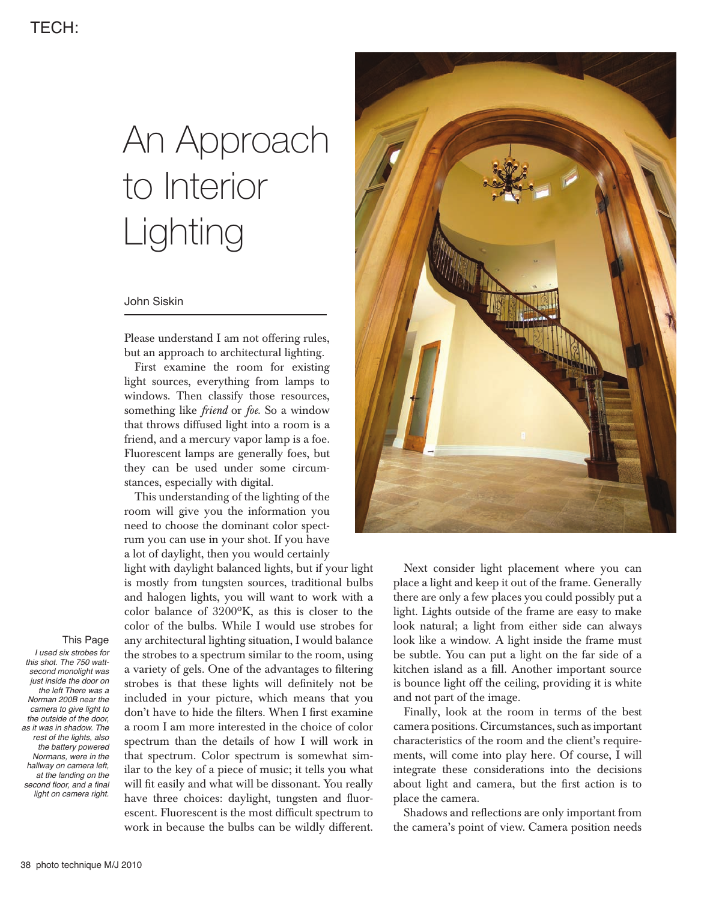# An Approach to Interior Lighting

# John Siskin

Please understand I am not offering rules, but an approach to architectural lighting.

First examine the room for existing light sources, everything from lamps to windows. Then classify those resources, something like *friend* or *foe*. So a window that throws diffused light into a room is a friend, and a mercury vapor lamp is a foe. Fluorescent lamps are generally foes, but they can be used under some circumstances, especially with digital.

This understanding of the lighting of the room will give you the information you need to choose the dominant color spectrum you can use in your shot. If you have a lot of daylight, then you would certainly

light with daylight balanced lights, but if your light is mostly from tungsten sources, traditional bulbs and halogen lights, you will want to work with a color balance of 3200ºK, as this is closer to the color of the bulbs. While I would use strobes for any architectural lighting situation, I would balance the strobes to a spectrum similar to the room, using a variety of gels. One of the advantages to filtering strobes is that these lights will definitely not be included in your picture, which means that you don't have to hide the filters. When I first examine a room I am more interested in the choice of color spectrum than the details of how I will work in that spectrum. Color spectrum is somewhat similar to the key of a piece of music; it tells you what will fit easily and what will be dissonant. You really have three choices: daylight, tungsten and fluorescent. Fluorescent is the most difficult spectrum to work in because the bulbs can be wildly different.



Next consider light placement where you can place a light and keep it out of the frame. Generally there are only a few places you could possibly put a light. Lights outside of the frame are easy to make look natural; a light from either side can always look like a window. A light inside the frame must be subtle. You can put a light on the far side of a kitchen island as a fill. Another important source is bounce light off the ceiling, providing it is white and not part of the image.

Finally, look at the room in terms of the best camera positions. Circumstances, such as important characteristics of the room and the client's requirements, will come into play here. Of course, I will integrate these considerations into the decisions about light and camera, but the first action is to place the camera.

Shadows and reflections are only important from the camera's point of view. Camera position needs

## This Page

I used six strobes for this shot. The 750 wattsecond monolight was just inside the door on the left There was a Norman 200B near the camera to give light to the outside of the door, as it was in shadow. The rest of the lights, also the battery powered Normans, were in the hallway on camera left, at the landing on the second floor, and a final light on camera right.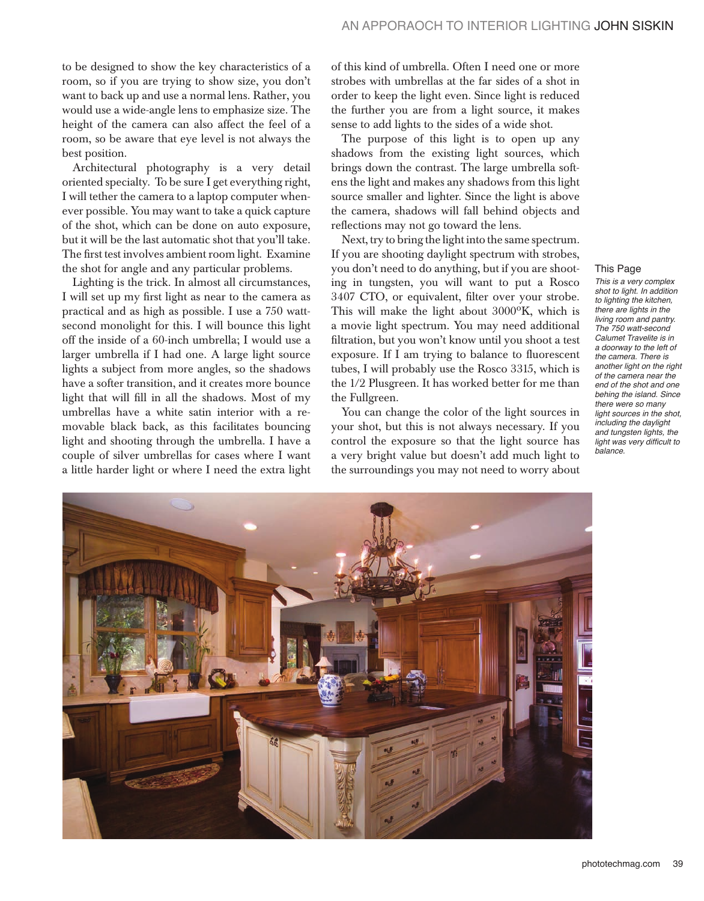to be designed to show the key characteristics of a room, so if you are trying to show size, you don't want to back up and use a normal lens. Rather, you would use a wide-angle lens to emphasize size. The height of the camera can also affect the feel of a room, so be aware that eye level is not always the best position.

Architectural photography is a very detail oriented specialty. To be sure I get everything right, I will tether the camera to a laptop computer whenever possible. You may want to take a quick capture of the shot, which can be done on auto exposure, but it will be the last automatic shot that you'll take. The first test involves ambient room light. Examine the shot for angle and any particular problems.

Lighting is the trick. In almost all circumstances, I will set up my first light as near to the camera as practical and as high as possible. I use a 750 wattsecond monolight for this. I will bounce this light off the inside of a 60-inch umbrella; I would use a larger umbrella if I had one. A large light source lights a subject from more angles, so the shadows have a softer transition, and it creates more bounce light that will fill in all the shadows. Most of my umbrellas have a white satin interior with a removable black back, as this facilitates bouncing light and shooting through the umbrella. I have a couple of silver umbrellas for cases where I want a little harder light or where I need the extra light of this kind of umbrella. Often I need one or more strobes with umbrellas at the far sides of a shot in order to keep the light even. Since light is reduced the further you are from a light source, it makes sense to add lights to the sides of a wide shot.

The purpose of this light is to open up any shadows from the existing light sources, which brings down the contrast. The large umbrella softens the light and makes any shadows from this light source smaller and lighter. Since the light is above the camera, shadows will fall behind objects and reflections may not go toward the lens.

Next, try to bring the light into the same spectrum. If you are shooting daylight spectrum with strobes, you don't need to do anything, but if you are shooting in tungsten, you will want to put a Rosco 3407 CTO, or equivalent, filter over your strobe. This will make the light about 3000ºK, which is a movie light spectrum. You may need additional filtration, but you won't know until you shoot a test exposure. If I am trying to balance to fluorescent tubes, I will probably use the Rosco 3315, which is the 1/2 Plusgreen. It has worked better for me than the Fullgreen.

You can change the color of the light sources in your shot, but this is not always necessary. If you control the exposure so that the light source has a very bright value but doesn't add much light to the surroundings you may not need to worry about

## This Page

This is a very complex shot to light. In addition to lighting the kitchen, there are lights in the living room and pantry. The 750 watt-second Calumet Travelite is in a doorway to the left of the camera. There is another light on the right of the camera near the end of the shot and one behing the island. Since there were so many light sources in the shot, including the daylight and tungsten lights, the light was very difficult to balance.

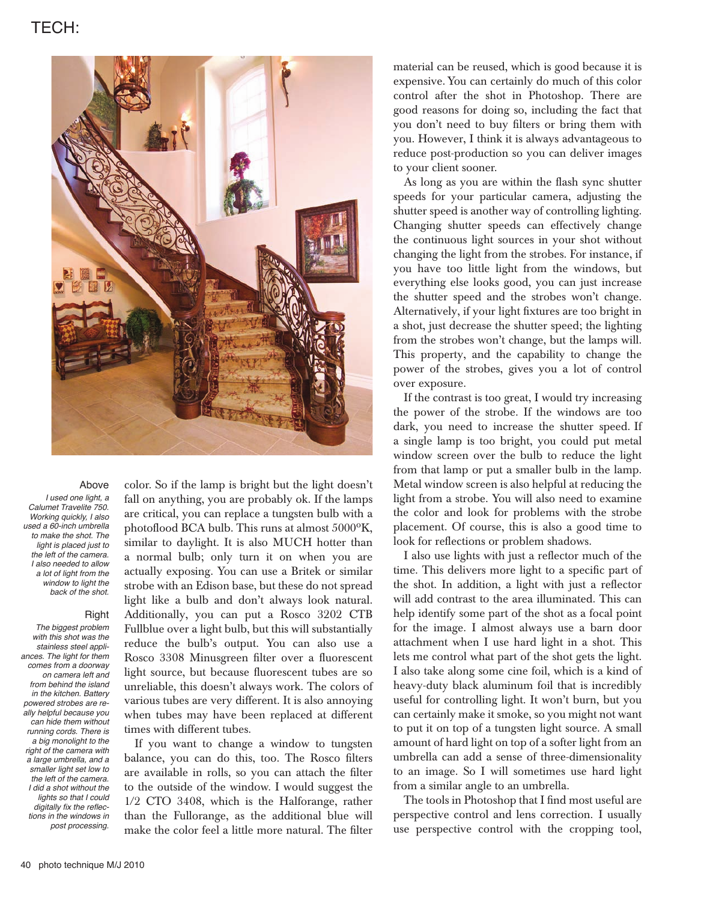# TECH:



#### Above

I used one light, a Calumet Travelite 750. Working quickly, I also used a 60-inch umbrella to make the shot. The light is placed just to the left of the camera. I also needed to allow a lot of light from the window to light the back of the shot.

## **Right**

The biggest problem with this shot was the stainless steel appliances. The light for them comes from a doorway on camera left and from behind the island in the kitchen. Battery powered strobes are really helpful because you can hide them without running cords. There is a big monolight to the right of the camera with a large umbrella, and a smaller light set low to the left of the camera. I did a shot without the lights so that I could digitally fix the reflections in the windows in post processing.

color. So if the lamp is bright but the light doesn't fall on anything, you are probably ok. If the lamps are critical, you can replace a tungsten bulb with a photoflood BCA bulb. This runs at almost 5000ºK, similar to daylight. It is also MUCH hotter than a normal bulb; only turn it on when you are actually exposing. You can use a Britek or similar strobe with an Edison base, but these do not spread light like a bulb and don't always look natural. Additionally, you can put a Rosco 3202 CTB Fullblue over a light bulb, but this will substantially reduce the bulb's output. You can also use a Rosco 3308 Minusgreen filter over a fluorescent light source, but because fluorescent tubes are so unreliable, this doesn't always work. The colors of various tubes are very different. It is also annoying when tubes may have been replaced at different times with different tubes.

If you want to change a window to tungsten balance, you can do this, too. The Rosco filters are available in rolls, so you can attach the filter to the outside of the window. I would suggest the 1/2 CTO 3408, which is the Halforange, rather than the Fullorange, as the additional blue will make the color feel a little more natural. The filter

material can be reused, which is good because it is expensive. You can certainly do much of this color control after the shot in Photoshop. There are good reasons for doing so, including the fact that you don't need to buy filters or bring them with you. However, I think it is always advantageous to reduce post-production so you can deliver images to your client sooner.

As long as you are within the flash sync shutter speeds for your particular camera, adjusting the shutter speed is another way of controlling lighting. Changing shutter speeds can effectively change the continuous light sources in your shot without changing the light from the strobes. For instance, if you have too little light from the windows, but everything else looks good, you can just increase the shutter speed and the strobes won't change. Alternatively, if your light fixtures are too bright in a shot, just decrease the shutter speed; the lighting from the strobes won't change, but the lamps will. This property, and the capability to change the power of the strobes, gives you a lot of control over exposure.

If the contrast is too great, I would try increasing the power of the strobe. If the windows are too dark, you need to increase the shutter speed. If a single lamp is too bright, you could put metal window screen over the bulb to reduce the light from that lamp or put a smaller bulb in the lamp. Metal window screen is also helpful at reducing the light from a strobe. You will also need to examine the color and look for problems with the strobe placement. Of course, this is also a good time to look for reflections or problem shadows.

I also use lights with just a reflector much of the time. This delivers more light to a specific part of the shot. In addition, a light with just a reflector will add contrast to the area illuminated. This can help identify some part of the shot as a focal point for the image. I almost always use a barn door attachment when I use hard light in a shot. This lets me control what part of the shot gets the light. I also take along some cine foil, which is a kind of heavy-duty black aluminum foil that is incredibly useful for controlling light. It won't burn, but you can certainly make it smoke, so you might not want to put it on top of a tungsten light source. A small amount of hard light on top of a softer light from an umbrella can add a sense of three-dimensionality to an image. So I will sometimes use hard light from a similar angle to an umbrella.

The tools in Photoshop that I find most useful are perspective control and lens correction. I usually use perspective control with the cropping tool,